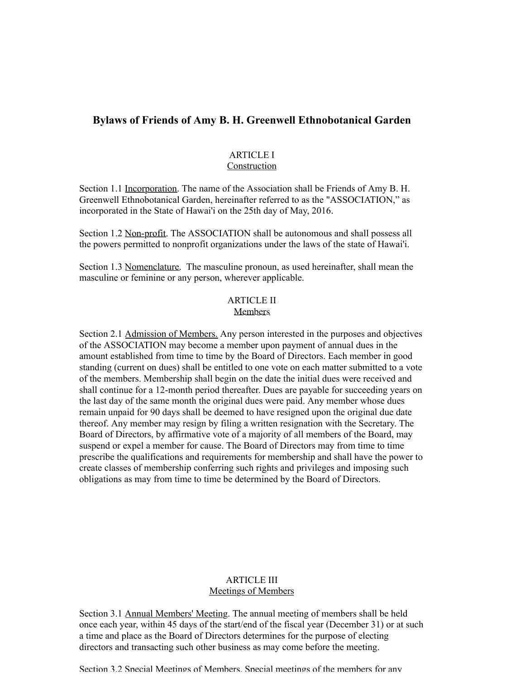# **Bylaws of Friends of Amy B. H. Greenwell Ethnobotanical Garden**

#### ARTICLE I Construction

Section 1.1 Incorporation. The name of the Association shall be Friends of Amy B. H. Greenwell Ethnobotanical Garden, hereinafter referred to as the "ASSOCIATION," as incorporated in the State of Hawai'i on the 25th day of May, 2016.

Section 1.2 Non-profit. The ASSOCIATION shall be autonomous and shall possess all the powers permitted to nonprofit organizations under the laws of the state of Hawai'i.

Section 1.3 Nomenclature. The masculine pronoun, as used hereinafter, shall mean the masculine or feminine or any person, wherever applicable.

#### ARTICLE II Members

Section 2.1 Admission of Members. Any person interested in the purposes and objectives of the ASSOCIATION may become a member upon payment of annual dues in the amount established from time to time by the Board of Directors. Each member in good standing (current on dues) shall be entitled to one vote on each matter submitted to a vote of the members. Membership shall begin on the date the initial dues were received and shall continue for a 12-month period thereafter. Dues are payable for succeeding years on the last day of the same month the original dues were paid. Any member whose dues remain unpaid for 90 days shall be deemed to have resigned upon the original due date thereof. Any member may resign by filing a written resignation with the Secretary. The Board of Directors, by affirmative vote of a majority of all members of the Board, may suspend or expel a member for cause. The Board of Directors may from time to time prescribe the qualifications and requirements for membership and shall have the power to create classes of membership conferring such rights and privileges and imposing such obligations as may from time to time be determined by the Board of Directors.

## ARTICLE III Meetings of Members

Section 3.1 Annual Members' Meeting. The annual meeting of members shall be held once each year, within 45 days of the start/end of the fiscal year (December 31) or at such a time and place as the Board of Directors determines for the purpose of electing directors and transacting such other business as may come before the meeting.

Section 3.2 Special Meetings of Members. Special meetings of the members for any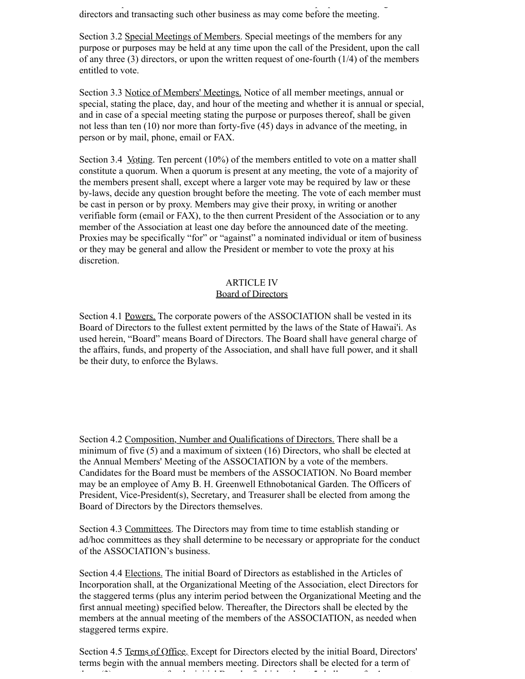a time and place as the Board of Directors determines for the purpose of electing directors and transacting such other business as may come before the meeting.

Section 3.2 Special Meetings of Members. Special meetings of the members for any purpose or purposes may be held at any time upon the call of the President, upon the call of any three (3) directors, or upon the written request of one-fourth (1/4) of the members entitled to vote.

Section 3.3 Notice of Members' Meetings. Notice of all member meetings, annual or special, stating the place, day, and hour of the meeting and whether it is annual or special, and in case of a special meeting stating the purpose or purposes thereof, shall be given not less than ten (10) nor more than forty-five (45) days in advance of the meeting, in person or by mail, phone, email or FAX.

Section 3.4 *Voting.* Ten percent (10%) of the members entitled to vote on a matter shall constitute a quorum. When a quorum is present at any meeting, the vote of a majority of the members present shall, except where a larger vote may be required by law or these by-laws, decide any question brought before the meeting. The vote of each member must be cast in person or by proxy. Members may give their proxy, in writing or another verifiable form (email or FAX), to the then current President of the Association or to any member of the Association at least one day before the announced date of the meeting. Proxies may be specifically "for" or "against" a nominated individual or item of business or they may be general and allow the President or member to vote the proxy at his discretion.

#### ARTICLE IV Board of Directors

Section 4.1 Powers. The corporate powers of the ASSOCIATION shall be vested in its Board of Directors to the fullest extent permitted by the laws of the State of Hawai'i. As used herein, "Board" means Board of Directors. The Board shall have general charge of the affairs, funds, and property of the Association, and shall have full power, and it shall be their duty, to enforce the Bylaws.

Section 4.2 Composition, Number and Qualifications of Directors. There shall be a minimum of five (5) and a maximum of sixteen (16) Directors, who shall be elected at the Annual Members' Meeting of the ASSOCIATION by a vote of the members. Candidates for the Board must be members of the ASSOCIATION. No Board member may be an employee of Amy B. H. Greenwell Ethnobotanical Garden. The Officers of President, Vice-President(s), Secretary, and Treasurer shall be elected from among the Board of Directors by the Directors themselves.

Section 4.3 Committees. The Directors may from time to time establish standing or ad/hoc committees as they shall determine to be necessary or appropriate for the conduct of the ASSOCIATION's business.

Section 4.4 Elections. The initial Board of Directors as established in the Articles of Incorporation shall, at the Organizational Meeting of the Association, elect Directors for the staggered terms (plus any interim period between the Organizational Meeting and the first annual meeting) specified below. Thereafter, the Directors shall be elected by the members at the annual meeting of the members of the ASSOCIATION, as needed when staggered terms expire.

Section 4.5 Terms of Office. Except for Directors elected by the initial Board, Directors' terms begin with the annual members meeting. Directors shall be elected for a term of three (3) years, except for the initial Board, of which at least  $\delta$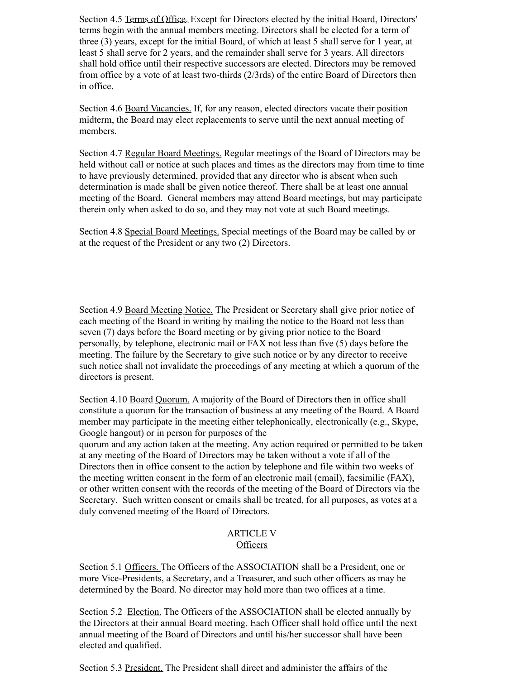Section 4.5 Terms of Office. Except for Directors elected by the initial Board, Directors' terms begin with the annual members meeting. Directors shall be elected for a term of three (3) years, except for the initial Board, of which at least 5 shall serve for 1 year, at least 5 shall serve for 2 years, and the remainder shall serve for 3 years. All directors shall hold office until their respective successors are elected. Directors may be removed from office by a vote of at least two-thirds (2/3rds) of the entire Board of Directors then in office.

Section 4.6 Board Vacancies. If, for any reason, elected directors vacate their position midterm, the Board may elect replacements to serve until the next annual meeting of members.

Section 4.7 Regular Board Meetings. Regular meetings of the Board of Directors may be held without call or notice at such places and times as the directors may from time to time to have previously determined, provided that any director who is absent when such determination is made shall be given notice thereof. There shall be at least one annual meeting of the Board. General members may attend Board meetings, but may participate therein only when asked to do so, and they may not vote at such Board meetings.

Section 4.8 Special Board Meetings. Special meetings of the Board may be called by or at the request of the President or any two (2) Directors.

Section 4.9 Board Meeting Notice. The President or Secretary shall give prior notice of each meeting of the Board in writing by mailing the notice to the Board not less than seven (7) days before the Board meeting or by giving prior notice to the Board personally, by telephone, electronic mail or FAX not less than five (5) days before the meeting. The failure by the Secretary to give such notice or by any director to receive such notice shall not invalidate the proceedings of any meeting at which a quorum of the directors is present.

Section 4.10 Board Quorum. A majority of the Board of Directors then in office shall constitute a quorum for the transaction of business at any meeting of the Board. A Board member may participate in the meeting either telephonically, electronically (e.g., Skype, Google hangout) or in person for purposes of the

quorum and any action taken at the meeting. Any action required or permitted to be taken at any meeting of the Board of Directors may be taken without a vote if all of the Directors then in office consent to the action by telephone and file within two weeks of the meeting written consent in the form of an electronic mail (email), facsimilie (FAX), or other written consent with the records of the meeting of the Board of Directors via the Secretary. Such written consent or emails shall be treated, for all purposes, as votes at a duly convened meeting of the Board of Directors.

### ARTICLE V **Officers**

Section 5.1 Officers. The Officers of the ASSOCIATION shall be a President, one or more Vice-Presidents, a Secretary, and a Treasurer, and such other officers as may be determined by the Board. No director may hold more than two offices at a time.

Section 5.2 Election. The Officers of the ASSOCIATION shall be elected annually by the Directors at their annual Board meeting. Each Officer shall hold office until the next annual meeting of the Board of Directors and until his/her successor shall have been elected and qualified.

Section 5.3 President. The President shall direct and administer the affairs of the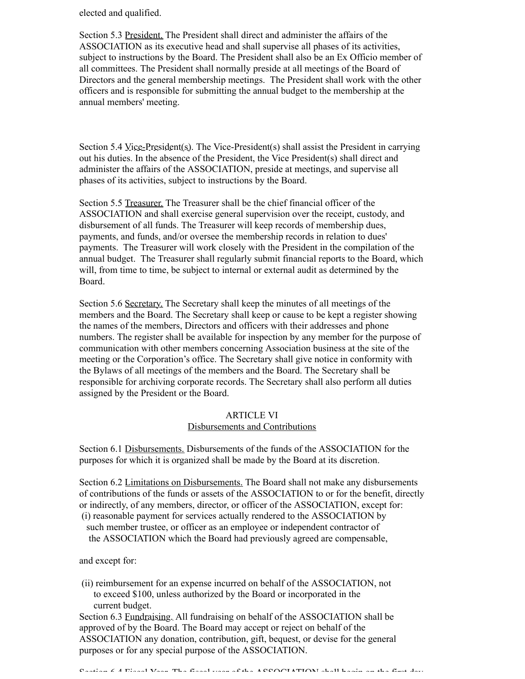elected and qualified.

Section 5.3 President. The President shall direct and administer the affairs of the ASSOCIATION as its executive head and shall supervise all phases of its activities, subject to instructions by the Board. The President shall also be an Ex Officio member of all committees. The President shall normally preside at all meetings of the Board of Directors and the general membership meetings. The President shall work with the other officers and is responsible for submitting the annual budget to the membership at the annual members' meeting.

Section 5.4 Vice-President(s). The Vice-President(s) shall assist the President in carrying out his duties. In the absence of the President, the Vice President(s) shall direct and administer the affairs of the ASSOCIATION, preside at meetings, and supervise all phases of its activities, subject to instructions by the Board.

Section 5.5 Treasurer. The Treasurer shall be the chief financial officer of the ASSOCIATION and shall exercise general supervision over the receipt, custody, and disbursement of all funds. The Treasurer will keep records of membership dues, payments, and funds, and/or oversee the membership records in relation to dues' payments. The Treasurer will work closely with the President in the compilation of the annual budget. The Treasurer shall regularly submit financial reports to the Board, which will, from time to time, be subject to internal or external audit as determined by the Board.

Section 5.6 Secretary. The Secretary shall keep the minutes of all meetings of the members and the Board. The Secretary shall keep or cause to be kept a register showing the names of the members, Directors and officers with their addresses and phone numbers. The register shall be available for inspection by any member for the purpose of communication with other members concerning Association business at the site of the meeting or the Corporation's office. The Secretary shall give notice in conformity with the Bylaws of all meetings of the members and the Board. The Secretary shall be responsible for archiving corporate records. The Secretary shall also perform all duties assigned by the President or the Board.

#### ARTICLE VI Disbursements and Contributions

Section 6.1 Disbursements. Disbursements of the funds of the ASSOCIATION for the purposes for which it is organized shall be made by the Board at its discretion.

Section 6.2 Limitations on Disbursements. The Board shall not make any disbursements of contributions of the funds or assets of the ASSOCIATION to or for the benefit, directly or indirectly, of any members, director, or officer of the ASSOCIATION, except for:

 (i) reasonable payment for services actually rendered to the ASSOCIATION by such member trustee, or officer as an employee or independent contractor of the ASSOCIATION which the Board had previously agreed are compensable,

and except for:

 (ii) reimbursement for an expense incurred on behalf of the ASSOCIATION, not to exceed \$100, unless authorized by the Board or incorporated in the current budget.

Section 6.3 Fundraising. All fundraising on behalf of the ASSOCIATION shall be approved of by the Board. The Board may accept or reject on behalf of the ASSOCIATION any donation, contribution, gift, bequest, or devise for the general purposes or for any special purpose of the ASSOCIATION.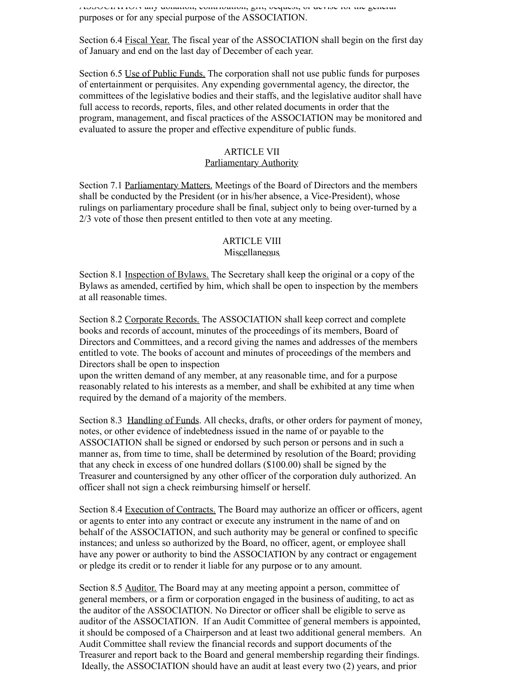ASSOCIATION any donation, contribution, gift, bequest, or devise for the general purposes or for any special purpose of the ASSOCIATION.

Section 6.4 Fiscal Year. The fiscal year of the ASSOCIATION shall begin on the first day of January and end on the last day of December of each year.

Section 6.5 Use of Public Funds. The corporation shall not use public funds for purposes of entertainment or perquisites. Any expending governmental agency, the director, the committees of the legislative bodies and their staffs, and the legislative auditor shall have full access to records, reports, files, and other related documents in order that the program, management, and fiscal practices of the ASSOCIATION may be monitored and evaluated to assure the proper and effective expenditure of public funds.

### ARTICLE VII

#### Parliamentary Authority

Section 7.1 Parliamentary Matters. Meetings of the Board of Directors and the members shall be conducted by the President (or in his/her absence, a Vice-President), whose rulings on parliamentary procedure shall be final, subject only to being over-turned by a 2/3 vote of those then present entitled to then vote at any meeting.

#### ARTICLE VIII Miscellaneous

Section 8.1 Inspection of Bylaws. The Secretary shall keep the original or a copy of the Bylaws as amended, certified by him, which shall be open to inspection by the members at all reasonable times.

Section 8.2 Corporate Records. The ASSOCIATION shall keep correct and complete books and records of account, minutes of the proceedings of its members, Board of Directors and Committees, and a record giving the names and addresses of the members entitled to vote. The books of account and minutes of proceedings of the members and Directors shall be open to inspection

upon the written demand of any member, at any reasonable time, and for a purpose reasonably related to his interests as a member, and shall be exhibited at any time when required by the demand of a majority of the members.

Section 8.3 Handling of Funds. All checks, drafts, or other orders for payment of money, notes, or other evidence of indebtedness issued in the name of or payable to the ASSOCIATION shall be signed or endorsed by such person or persons and in such a manner as, from time to time, shall be determined by resolution of the Board; providing that any check in excess of one hundred dollars (\$100.00) shall be signed by the Treasurer and countersigned by any other officer of the corporation duly authorized. An officer shall not sign a check reimbursing himself or herself.

Section 8.4 Execution of Contracts. The Board may authorize an officer or officers, agent or agents to enter into any contract or execute any instrument in the name of and on behalf of the ASSOCIATION, and such authority may be general or confined to specific instances; and unless so authorized by the Board, no officer, agent, or employee shall have any power or authority to bind the ASSOCIATION by any contract or engagement or pledge its credit or to render it liable for any purpose or to any amount.

Section 8.5 Auditor. The Board may at any meeting appoint a person, committee of general members, or a firm or corporation engaged in the business of auditing, to act as the auditor of the ASSOCIATION. No Director or officer shall be eligible to serve as auditor of the ASSOCIATION. If an Audit Committee of general members is appointed, it should be composed of a Chairperson and at least two additional general members. An Audit Committee shall review the financial records and support documents of the Treasurer and report back to the Board and general membership regarding their findings. Ideally, the ASSOCIATION should have an audit at least every two (2) years, and prior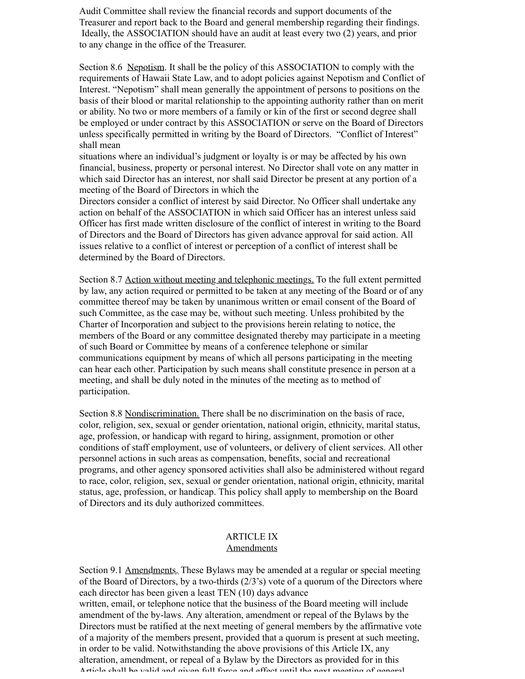Audit Committee shall review the financial records and support documents of the Treasurer and report back to the Board and general membership regarding their findings. Ideally, the ASSOCIATION should have an audit at least every two (2) years, and prior to any change in the office of the Treasurer.

Section 8.6 Nepotism. It shall be the policy of this ASSOCIATION to comply with the requirements of Hawaii State Law, and to adopt policies against Nepotism and Conflict of Interest. "Nepotism" shall mean generally the appointment of persons to positions on the basis of their blood or marital relationship to the appointing authority rather than on merit or ability. No two or more members of a family or kin of the first or second degree shall be employed or under contract by this ASSOCIATION or serve on the Board of Directors unless specifically permitted in writing by the Board of Directors. "Conflict of Interest" shall mean

situations where an individual's judgment or loyalty is or may be affected by his own financial, business, property or personal interest. No Director shall vote on any matter in which said Director has an interest, nor shall said Director be present at any portion of a meeting of the Board of Directors in which the

Directors consider a conflict of interest by said Director. No Officer shall undertake any action on behalf of the ASSOCIATION in which said Officer has an interest unless said Officer has first made written disclosure of the conflict of interest in writing to the Board of Directors and the Board of Directors has given advance approval for said action. All issues relative to a conflict of interest or perception of a conflict of interest shall be determined by the Board of Directors.

Section 8.7 Action without meeting and telephonic meetings. To the full extent permitted by law, any action required or permitted to be taken at any meeting of the Board or of any committee thereof may be taken by unanimous written or email consent of the Board of such Committee, as the case may be, without such meeting. Unless prohibited by the Charter of Incorporation and subject to the provisions herein relating to notice, the members of the Board or any committee designated thereby may participate in a meeting of such Board or Committee by means of a conference telephone or similar communications equipment by means of which all persons participating in the meeting can hear each other. Participation by such means shall constitute presence in person at a meeting, and shall be duly noted in the minutes of the meeting as to method of participation.

Section 8.8 Nondiscrimination. There shall be no discrimination on the basis of race, color, religion, sex, sexual or gender orientation, national origin, ethnicity, marital status, age, profession, or handicap with regard to hiring, assignment, promotion or other conditions of staff employment, use of volunteers, or delivery of client services. All other personnel actions in such areas as compensation, benefits, social and recreational programs, and other agency sponsored activities shall also be administered without regard to race, color, religion, sex, sexual or gender orientation, national origin, ethnicity, marital status, age, profession, or handicap. This policy shall apply to membership on the Board of Directors and its duly authorized committees.

#### ARTICLE IX Amendments

Section 9.1 Amendments. These Bylaws may be amended at a regular or special meeting of the Board of Directors, by a two-thirds  $(2/3)$  vote of a quorum of the Directors where each director has been given a least TEN (10) days advance written, email, or telephone notice that the business of the Board meeting will include amendment of the by-laws. Any alteration, amendment or repeal of the Bylaws by the Directors must be ratified at the next meeting of general members by the affirmative vote of a majority of the members present, provided that a quorum is present at such meeting, in order to be valid. Notwithstanding the above provisions of this Article IX, any alteration, amendment, or repeal of a Bylaw by the Directors as provided for in this Article shall be valid and given full force and effect until the next meeting of general